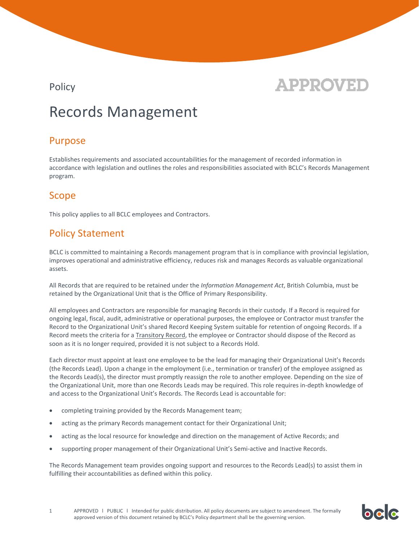

bclc

## Records Management

### Purpose

Establishes requirements and associated accountabilities for the management of recorded information in accordance with legislation and outlines the roles and responsibilities associated with BCLC's Records Management program.

### Scope

This policy applies to all BCLC employees and Contractors.

## Policy Statement

BCLC is committed to maintaining a Records management program that is in compliance with provincial legislation, improves operational and administrative efficiency, reduces risk and manages Records as valuable organizational assets.

All Records that are required to be retained under the *Information Management Act*, British Columbia, must be retained by the Organizational Unit that is the Office of Primary Responsibility.

All employees and Contractors are responsible for managing Records in their custody. If a Record is required for ongoing legal, fiscal, audit, administrative or operational purposes, the employee or Contractor must transfer the Record to the Organizational Unit's shared Record Keeping System suitable for retention of ongoing Records. If a Record meets the criteria for [a Transitory Record,](https://www2.gov.bc.ca/gov/content/governments/services-for-government/information-management-technology/records-management/information-schedules/special-schedules/transitory-records) the employee or Contractor should dispose of the Record as soon as it is no longer required, provided it is not subject to a Records Hold.

Each director must appoint at least one employee to be the lead for managing their Organizational Unit's Records (the Records Lead). Upon a change in the employment (i.e., termination or transfer) of the employee assigned as the Records Lead(s), the director must promptly reassign the role to another employee. Depending on the size of the Organizational Unit, more than one Records Leads may be required. This role requires in-depth knowledge of and access to the Organizational Unit's Records. The Records Lead is accountable for:

- completing training provided by the Records Management team;
- acting as the primary Records management contact for their Organizational Unit;
- acting as the local resource for knowledge and direction on the management of Active Records; and
- supporting proper management of their Organizational Unit's Semi-active and Inactive Records.

The Records Management team provides ongoing support and resources to the Records Lead(s) to assist them in fulfilling their accountabilities as defined within this policy.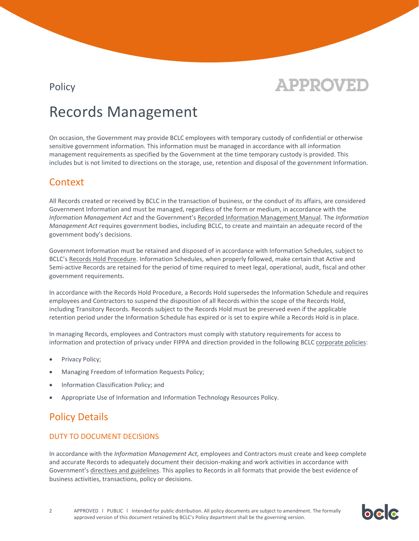

## Records Management

On occasion, the Government may provide BCLC employees with temporary custody of confidential or otherwise sensitive government information. This information must be managed in accordance with all information management requirements as specified by the Government at the time temporary custody is provided. This includes but is not limited to directions on the storage, use, retention and disposal of the government Information.

### Context

All Records created or received by BCLC in the transaction of business, or the conduct of its affairs, are considered Government Information and must be managed, regardless of the form or medium, in accordance with the *Information Management Act* and the Government's [Recorded Information Management Manual.](https://www2.gov.bc.ca/gov/content/governments/services-for-government/policies-procedures/government-records/rimm) The *Information Management Act* requires government bodies, including BCLC, to create and maintain an adequate record of the government body's decisions.

Government Information must be retained and disposed of in accordance with Information Schedules, subject to BCLC's [Records Hold Procedure.](https://bclc.sharepoint.com/sites/thehub/toolkit/policies) Information Schedules, when properly followed, make certain that Active and Semi-active Records are retained for the period of time required to meet legal, operational, audit, fiscal and other government requirements.

In accordance with the Records Hold Procedure, a Records Hold supersedes the Information Schedule and requires employees and Contractors to suspend the disposition of all Records within the scope of the Records Hold, including Transitory Records. Records subject to the Records Hold must be preserved even if the applicable retention period under the Information Schedule has expired or is set to expire while a Records Hold is in place.

In managing Records, employees and Contractors must comply with statutory requirements for access to information and protection of privacy under FIPPA and direction provided in the following BCLC [corporate policies:](https://bclc.sharepoint.com/sites/thehub/toolkit/policies)

- Privacy Policy;
- Managing Freedom of Information Requests Policy;
- Information Classification Policy; and
- Appropriate Use of Information and Information Technology Resources Policy.

## Policy Details

#### DUTY TO DOCUMENT DECISIONS

In accordance with the *Information Management Act*, employees and Contractors must create and keep complete and accurate Records to adequately document their decision-making and work activities in accordance with Government's [directives and guidelines.](https://www2.gov.bc.ca/gov/content/governments/organizational-structure/ministries-organizations/central-government-agencies/corporate-information-records-management-office/information-management-act/cro-directives-guidelines) This applies to Records in all formats that provide the best evidence of business activities, transactions, policy or decisions.

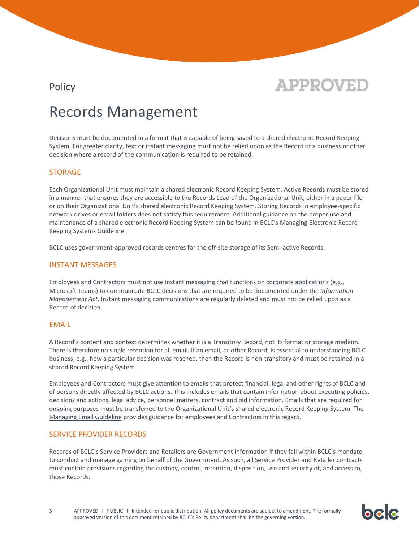

bele

## Records Management

Decisions must be documented in a format that is capable of being saved to a shared electronic Record Keeping System. For greater clarity, text or instant messaging must not be relied upon as the Record of a business or other decision where a record of the communication is required to be retained.

#### STORAGE

Each Organizational Unit must maintain a shared electronic Record Keeping System. Active Records must be stored in a manner that ensures they are accessible to the Records Lead of the Organizational Unit, either in a paper file or on their Organizational Unit's shared electronic Record Keeping System. Storing Records in employee-specific network drives or email folders does not satisfy this requirement. Additional guidance on the proper use and maintenance of a shared electronic Record Keeping System can be found in BCLC's [Managing Electronic Record](https://bclc.sharepoint.com/sites/thehub/toolkit/policies)  [Keeping Systems](https://bclc.sharepoint.com/sites/thehub/toolkit/policies) Guideline.

BCLC uses government-approved records centres for the off-site storage of its Semi-active Records.

#### INSTANT MESSAGES

Employees and Contractors must not use instant messaging chat functions on corporate applications (e.g., Microsoft Teams) to communicate BCLC decisions that are required to be documented under the *Information Management Act*. Instant messaging communications are regularly deleted and must not be relied upon as a Record of decision.

#### EMAIL

A Record's content and context determines whether it is a Transitory Record, not its format or storage medium. There is therefore no single retention for all email. If an email, or other Record, is essential to understanding BCLC business, e.g., how a particular decision was reached, then the Record is non-transitory and must be retained in a shared Record Keeping System.

Employees and Contractors must give attention to emails that protect financial, legal and other rights of BCLC and of persons directly affected by BCLC actions. This includes emails that contain information about executing policies, decisions and actions, legal advice, personnel matters, contract and bid information. Emails that are required for ongoing purposes must be transferred to the Organizational Unit's shared electronic Record Keeping System. The [Managing Email](https://bclc.sharepoint.com/sites/thehub/toolkit/policies) Guideline provides guidance for employees and Contractors in this regard.

#### SERVICE PROVIDER RECORDS

Records of BCLC's Service Providers and Retailers are Government Information if they fall within BCLC's mandate to conduct and manage gaming on behalf of the Government. As such, all Service Provider and Retailer contracts must contain provisions regarding the custody, control, retention, disposition, use and security of, and access to, those Records.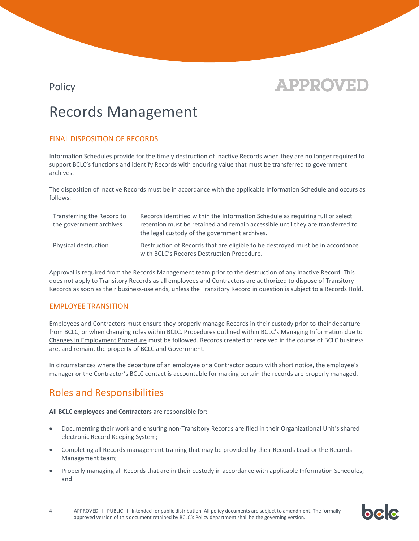

bcc

## Records Management

#### FINAL DISPOSITION OF RECORDS

Information Schedules provide for the timely destruction of Inactive Records when they are no longer required to support BCLC's functions and identify Records with enduring value that must be transferred to government archives.

The disposition of Inactive Records must be in accordance with the applicable Information Schedule and occurs as follows:

| Transferring the Record to<br>the government archives | Records identified within the Information Schedule as requiring full or select<br>retention must be retained and remain accessible until they are transferred to<br>the legal custody of the government archives. |
|-------------------------------------------------------|-------------------------------------------------------------------------------------------------------------------------------------------------------------------------------------------------------------------|
| Physical destruction                                  | Destruction of Records that are eligible to be destroyed must be in accordance<br>with BCLC's Records Destruction Procedure.                                                                                      |

Approval is required from the Records Management team prior to the destruction of any Inactive Record. This does not apply to Transitory Records as all employees and Contractors are authorized to dispose of Transitory Records as soon as their business-use ends, unless the Transitory Record in question is subject to a Records Hold.

#### EMPLOYEE TRANSITION

Employees and Contractors must ensure they properly manage Records in their custody prior to their departure from BCLC, or when changing roles within BCLC. Procedures outlined within BCLC's [Managing Information due to](https://bclc.sharepoint.com/sites/thehub/toolkit/policies)  [Changes in Employment](https://bclc.sharepoint.com/sites/thehub/toolkit/policies) Procedure must be followed. Records created or received in the course of BCLC business are, and remain, the property of BCLC and Government.

In circumstances where the departure of an employee or a Contractor occurs with short notice, the employee's manager or the Contractor's BCLC contact is accountable for making certain the records are properly managed.

### Roles and Responsibilities

**All BCLC employees and Contractors** are responsible for:

- Documenting their work and ensuring non-Transitory Records are filed in their Organizational Unit's shared electronic Record Keeping System;
- Completing all Records management training that may be provided by their Records Lead or the Records Management team;
- Properly managing all Records that are in their custody in accordance with applicable Information Schedules; and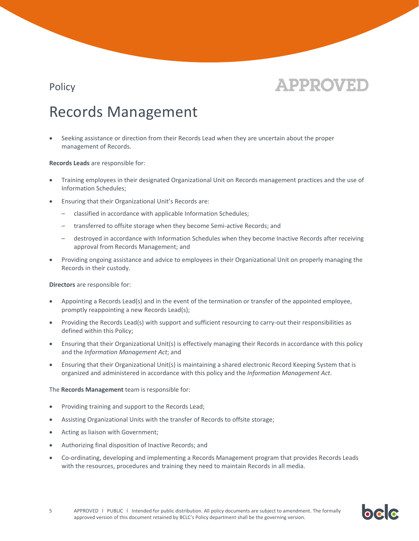

bclc

## Records Management

• Seeking assistance or direction from their Records Lead when they are uncertain about the proper management of Records.

**Records Leads** are responsible for:

- Training employees in their designated Organizational Unit on Records management practices and the use of Information Schedules;
- Ensuring that their Organizational Unit's Records are:
	- classified in accordance with applicable Information Schedules;
	- transferred to offsite storage when they become Semi-active Records; and
	- destroyed in accordance with Information Schedules when they become Inactive Records after receiving approval from Records Management; and
- Providing ongoing assistance and advice to employees in their Organizational Unit on properly managing the Records in their custody.

**Directors** are responsible for:

- Appointing a Records Lead(s) and in the event of the termination or transfer of the appointed employee, promptly reappointing a new Records Lead(s);
- Providing the Records Lead(s) with support and sufficient resourcing to carry-out their responsibilities as defined within this Policy;
- Ensuring that their Organizational Unit(s) is effectively managing their Records in accordance with this policy and the *Information Management Act*; and
- Ensuring that their Organizational Unit(s) is maintaining a shared electronic Record Keeping System that is organized and administered in accordance with this policy and the *Information Management Act*.

The **Records Management** team is responsible for:

- Providing training and support to the Records Lead;
- Assisting Organizational Units with the transfer of Records to offsite storage;
- Acting as liaison with Government;
- Authorizing final disposition of Inactive Records; and
- Co-ordinating, developing and implementing a Records Management program that provides Records Leads with the resources, procedures and training they need to maintain Records in all media.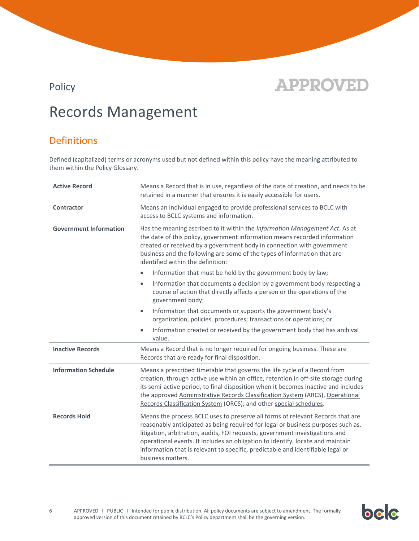# **APPROVED**

## Records Management

## Definitions

Defined (capitalized) terms or acronyms used but not defined within this policy have the meaning attributed to them within th[e Policy Glossary.](https://bclc.sharepoint.com/sites/thehub/toolkit/policies/Documents/asset16754.pdf)

| <b>Active Record</b>          | Means a Record that is in use, regardless of the date of creation, and needs to be<br>retained in a manner that ensures it is easily accessible for users.                                                                                                                                                                                                                                                                                   |  |
|-------------------------------|----------------------------------------------------------------------------------------------------------------------------------------------------------------------------------------------------------------------------------------------------------------------------------------------------------------------------------------------------------------------------------------------------------------------------------------------|--|
| <b>Contractor</b>             | Means an individual engaged to provide professional services to BCLC with<br>access to BCLC systems and information.                                                                                                                                                                                                                                                                                                                         |  |
| <b>Government Information</b> | Has the meaning ascribed to it within the Information Management Act. As at<br>the date of this policy, government information means recorded information<br>created or received by a government body in connection with government<br>business and the following are some of the types of information that are<br>identified within the definition:                                                                                         |  |
|                               | Information that must be held by the government body by law;                                                                                                                                                                                                                                                                                                                                                                                 |  |
|                               | Information that documents a decision by a government body respecting a<br>$\bullet$<br>course of action that directly affects a person or the operations of the<br>government body;                                                                                                                                                                                                                                                         |  |
|                               | Information that documents or supports the government body's<br>$\bullet$<br>organization, policies, procedures; transactions or operations; or                                                                                                                                                                                                                                                                                              |  |
|                               | Information created or received by the government body that has archival<br>value.                                                                                                                                                                                                                                                                                                                                                           |  |
| <b>Inactive Records</b>       | Means a Record that is no longer required for ongoing business. These are<br>Records that are ready for final disposition.                                                                                                                                                                                                                                                                                                                   |  |
| <b>Information Schedule</b>   | Means a prescribed timetable that governs the life cycle of a Record from<br>creation, through active use within an office, retention in off-site storage during<br>its semi-active period, to final disposition when it becomes inactive and includes<br>the approved Administrative Records Classification System (ARCS), Operational<br>Records Classification System (ORCS), and other special schedules.                                |  |
| <b>Records Hold</b>           | Means the process BCLC uses to preserve all forms of relevant Records that are<br>reasonably anticipated as being required for legal or business purposes such as,<br>litigation, arbitration, audits, FOI requests, government investigations and<br>operational events. It includes an obligation to identify, locate and maintain<br>information that is relevant to specific, predictable and identifiable legal or<br>business matters. |  |

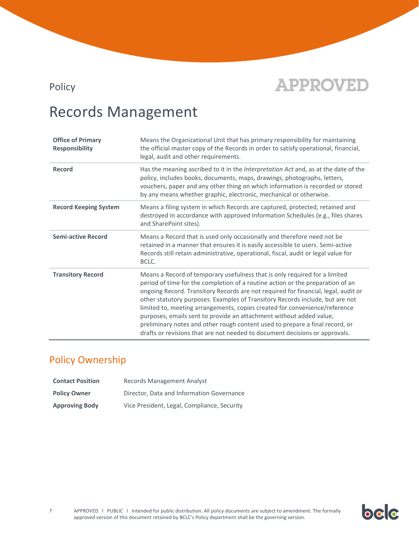

## Records Management

| <b>Office of Primary</b><br><b>Responsibility</b> | Means the Organizational Unit that has primary responsibility for maintaining<br>the official master copy of the Records in order to satisfy operational, financial,<br>legal, audit and other requirements.                                                                                                                                                                                                                                                                                                                                                                                                                                            |  |
|---------------------------------------------------|---------------------------------------------------------------------------------------------------------------------------------------------------------------------------------------------------------------------------------------------------------------------------------------------------------------------------------------------------------------------------------------------------------------------------------------------------------------------------------------------------------------------------------------------------------------------------------------------------------------------------------------------------------|--|
| <b>Record</b>                                     | Has the meaning ascribed to it in the Interpretation Act and, as at the date of the<br>policy, includes books, documents, maps, drawings, photographs, letters,<br>vouchers, paper and any other thing on which information is recorded or stored<br>by any means whether graphic, electronic, mechanical or otherwise.                                                                                                                                                                                                                                                                                                                                 |  |
| <b>Record Keeping System</b>                      | Means a filing system in which Records are captured, protected, retained and<br>destroyed in accordance with approved Information Schedules (e.g., files shares<br>and SharePoint sites).                                                                                                                                                                                                                                                                                                                                                                                                                                                               |  |
| <b>Semi-active Record</b>                         | Means a Record that is used only occasionally and therefore need not be<br>retained in a manner that ensures it is easily accessible to users. Semi-active<br>Records still retain administrative, operational, fiscal, audit or legal value for<br>BCLC.                                                                                                                                                                                                                                                                                                                                                                                               |  |
| <b>Transitory Record</b>                          | Means a Record of temporary usefulness that is only required for a limited<br>period of time for the completion of a routine action or the preparation of an<br>ongoing Record. Transitory Records are not required for financial, legal, audit or<br>other statutory purposes. Examples of Transitory Records include, but are not<br>limited to, meeting arrangements, copies created for convenience/reference<br>purposes, emails sent to provide an attachment without added value,<br>preliminary notes and other rough content used to prepare a final record, or<br>drafts or revisions that are not needed to document decisions or approvals. |  |

## Policy Ownership

| <b>Contact Position</b> | <b>Records Management Analyst</b>           |  |
|-------------------------|---------------------------------------------|--|
| <b>Policy Owner</b>     | Director, Data and Information Governance   |  |
| <b>Approving Body</b>   | Vice President, Legal, Compliance, Security |  |